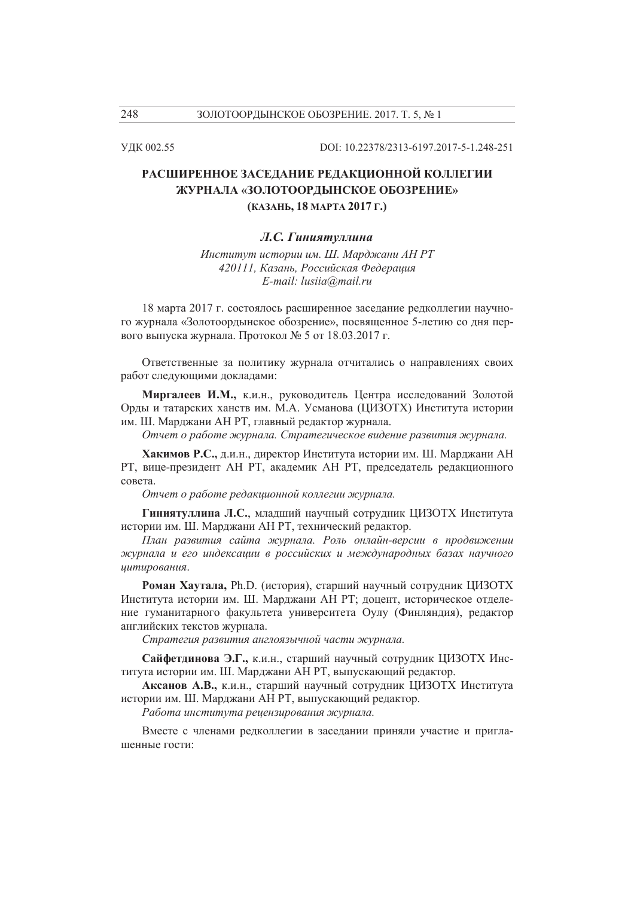УЛК 002.55

DOI: 10.22378/2313-6197.2017-5-1.248-251

# РАСШИРЕННОЕ ЗАСЕДАНИЕ РЕДАКЦИОННОЙ КОЛЛЕГИИ ЖУРНАЛА «ЗОЛОТООРДЫНСКОЕ ОБОЗРЕНИЕ» (КАЗАНЬ, 18 МАРТА 2017 Г.)

## Л.С. Гиниятуллина

Институт истории им. Ш. Марджани АН РТ 420111, Казань, Российская Федерация E-mail: lusiia@mail.ru

18 марта 2017 г. состоялось расширенное заседание редколлегии научного журнала «Золотоордынское обозрение», посвященное 5-летию со дня первого выпуска журнала. Протокол № 5 от 18.03.2017 г.

Ответственные за политику журнала отчитались о направлениях своих работ следующими докладами:

Миргалеев И.М., к.и.н., руководитель Центра исследований Золотой Орды и татарских ханств им. М.А. Усманова (ЦИЗОТХ) Института истории им. Ш. Марджани АН РТ, главный редактор журнала.

Отчет о работе журнала. Стратегическое видение развития журнала.

Хакимов Р.С., д.и.н., директор Института истории им. Ш. Марджани АН РТ, вице-президент АН РТ, академик АН РТ, председатель редакционного совета.

Отчет о работе редакционной коллегии журнала.

Гиниятуллина Л.С., младший научный сотрудник ЦИЗОТХ Института истории им. Ш. Марджани АН РТ, технический редактор.

План развития сайта журнала. Роль онлайн-версии в продвижении журнала и его индексации в российских и международных базах научного иитирования.

Роман Хаутала, Ph.D. (история), старший научный сотрудник ЦИЗОТХ Института истории им. Ш. Марджани АН РТ; доцент, историческое отделение гуманитарного факультета университета Оулу (Финляндия), редактор английских текстов журнала.

Стратегия развития англоязычной части журнала.

Сайфетдинова Э.Г., к.и.н., старший научный сотрудник ЦИЗОТХ Института истории им. Ш. Марджани АН РТ, выпускающий редактор.

Аксанов А.В., к.и.н., старший научный сотрудник ЦИЗОТХ Института истории им. Ш. Марджани АН РТ, выпускающий редактор.

Работа института рецензирования журнала.

Вместе с членами редколлегии в заседании приняли участие и приглашенные гости:

248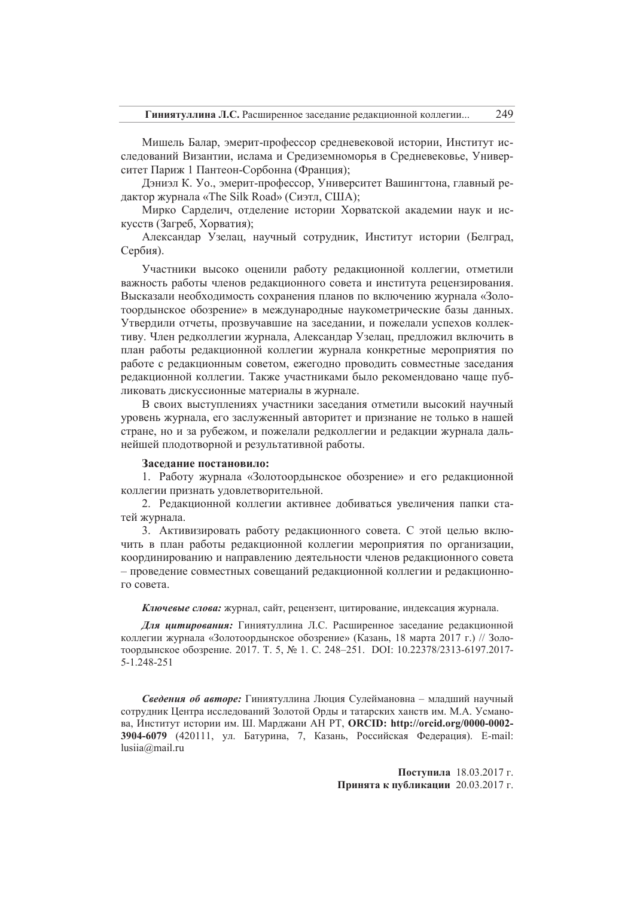Мишель Балар, эмерит-профессор средневековой истории, Институт исследований Византии, ислама и Средиземноморья в Средневековье, Университет Париж 1 Пантеон-Сорбонна (Франция);

Дэниэл К. Уо., эмерит-профессор, Университет Вашингтона, главный редактор журнала «The Silk Road» (Сиэтл, США);

Мирко Сарделич, отделение истории Хорватской академии наук и искусств (Загреб, Хорватия);

Александар Узелац, научный сотрудник, Институт истории (Белград, Сербия).

Участники высоко оценили работу редакционной коллегии, отметили важность работы членов редакционного совета и института рецензирования. Высказали необходимость сохранения планов по включению журнала «Золотоордынское обозрение» в международные наукометрические базы данных. Утвердили отчеты, прозвучавшие на заседании, и пожелали успехов коллективу. Член редколлегии журнала, Александар Узелац, предложил включить в план работы редакционной коллегии журнала конкретные мероприятия по работе с редакционным советом, ежегодно проводить совместные заседания редакционной коллегии. Также участниками было рекомендовано чаще публиковать дискуссионные материалы в журнале.

В своих выступлениях участники заседания отметили высокий научный уровень журнала, его заслуженный авторитет и признание не только в нашей стране, но и за рубежом, и пожелали редколлегии и редакции журнала дальнейшей плодотворной и результативной работы.

### Заселание постановило:

1. Работу журнала «Золотоордынское обозрение» и его редакционной коллегии признать удовлетворительной.

2. Редакционной коллегии активнее добиваться увеличения папки статей журнала.

3. Активизировать работу редакционного совета. С этой целью включить в план работы редакционной коллегии мероприятия по организации, координированию и направлению деятельности членов редакционного совета - проведение совместных совещаний редакционной коллегии и редакционного совета.

Ключевые слова: журнал, сайт, рецензент, цитирование, индексация журнала.

Для цитирования: Гиниятуллина Л.С. Расширенное заседание редакционной коллегии журнала «Золотоордынское обозрение» (Казань, 18 марта 2017 г.) // Золотоордынское обозрение. 2017. Т. 5, № 1. С. 248-251. DOI: 10.22378/2313-6197.2017- $5 - 1.248 - 251$ 

Сведения об авторе: Гиниятуллина Люция Сулеймановна - младший научный сотрудник Центра исследований Золотой Орды и татарских ханств им. М.А. Усманова, Институт истории им. Ш. Марджани АН РТ, ORCID: http://orcid.org/0000-0002-3904-6079 (420111, ул. Батурина, 7, Казань, Российская Федерация). E-mail:  $lusiia@mail.ru$ 

> Поступила 18.03.2017 г. Принята к публикации 20.03.2017 г.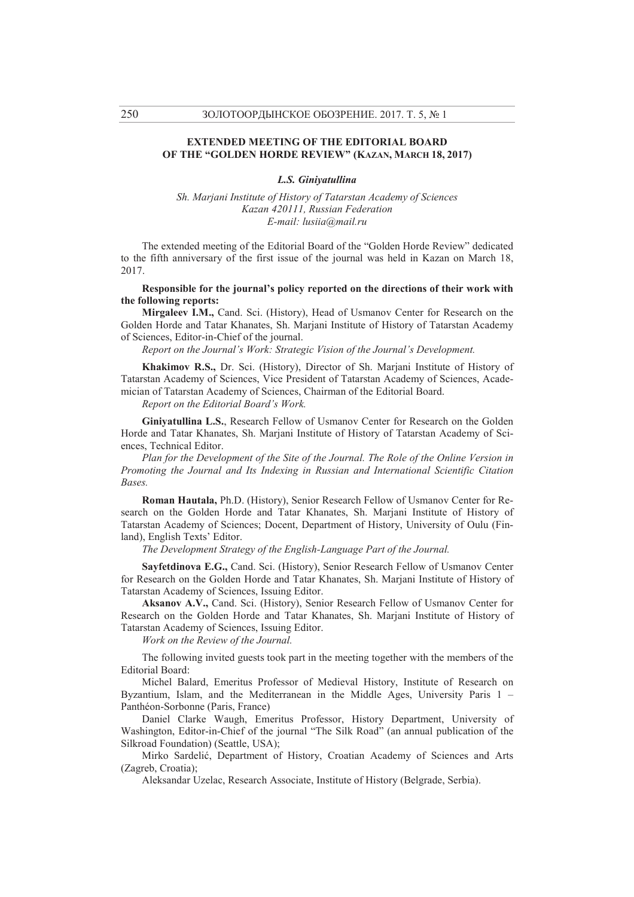## **EXTENDED MEETING OF THE EDITORIAL BOARD OF THE "GOLDEN HORDE REVIEW" (KAZAN, MARCH 18, 2017)**

#### *L.S. Giniyatullina*

*Sh. Marjani Institute of History of Tatarstan Academy of Sciences Kazan 420111, Russian Federation E-mail: lusiia@mail.ru* 

The extended meeting of the Editorial Board of the "Golden Horde Review" dedicated to the fifth anniversary of the first issue of the journal was held in Kazan on March 18, 2017.

**Responsible for the journal's policy reported on the directions of their work with the following reports:** 

**Mirgaleev I.M.,** Cand. Sci. (History), Head of Usmanov Center for Research on the Golden Horde and Tatar Khanates, Sh. Marjani Institute of History of Tatarstan Academy of Sciences, Editor-in-Chief of the journal.

*Report on the Journal's Work: Strategic Vision of the Journal's Development.* 

**Khakimov R.S.,** Dr. Sci. (History), Director of Sh. Marjani Institute of History of Tatarstan Academy of Sciences, Vice President of Tatarstan Academy of Sciences, Academician of Tatarstan Academy of Sciences, Chairman of the Editorial Board.

*Report on the Editorial Board's Work.* 

**Giniyatullina L.S.**, Research Fellow of Usmanov Center for Research on the Golden Horde and Tatar Khanates, Sh. Marjani Institute of History of Tatarstan Academy of Sciences, Technical Editor.

*Plan for the Development of the Site of the Journal. The Role of the Online Version in Promoting the Journal and Its Indexing in Russian and International Scientific Citation Bases.* 

**Roman Hautala,** Ph.D. (History), Senior Research Fellow of Usmanov Center for Research on the Golden Horde and Tatar Khanates, Sh. Marjani Institute of History of Tatarstan Academy of Sciences; Docent, Department of History, University of Oulu (Finland), English Texts' Editor.

*The Development Strategy of the English-Language Part of the Journal.* 

**Sayfetdinova E.G.,** Cand. Sci. (History), Senior Research Fellow of Usmanov Center for Research on the Golden Horde and Tatar Khanates, Sh. Marjani Institute of History of Tatarstan Academy of Sciences, Issuing Editor.

**Aksanov A.V.,** Cand. Sci. (History), Senior Research Fellow of Usmanov Center for Research on the Golden Horde and Tatar Khanates, Sh. Marjani Institute of History of Tatarstan Academy of Sciences, Issuing Editor.

*Work on the Review of the Journal.* 

The following invited guests took part in the meeting together with the members of the Editorial Board:

Michel Balard, Emeritus Professor of Medieval History, Institute of Research on Byzantium, Islam, and the Mediterranean in the Middle Ages, University Paris 1 – Panthéon-Sorbonne (Paris, France)

Daniel Clarke Waugh, Emeritus Professor, History Department, University of Washington, Editor-in-Chief of the journal "The Silk Road" (an annual publication of the Silkroad Foundation) (Seattle, USA);

Mirko Sardelić, Department of History, Croatian Academy of Sciences and Arts (Zagreb, Croatia);

Aleksandar Uzelac, Research Associate, Institute of History (Belgrade, Serbia).